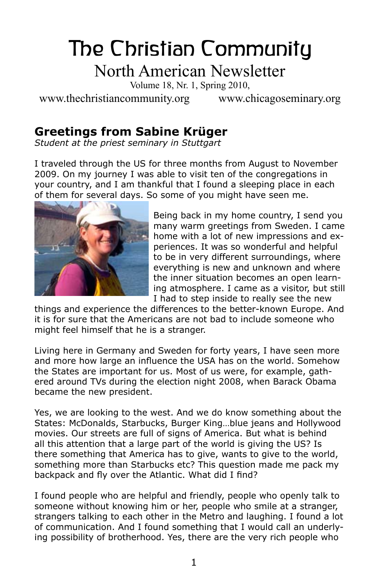# The Christian Community North American Newsletter

Volume 18, Nr. 1, Spring 2010,

www.thechristiancommunity.org www.chicagoseminary.org

## **Greetings from Sabine Krüger**

*Student at the priest seminary in Stuttgart*

I traveled through the US for three months from August to November 2009. On my journey I was able to visit ten of the congregations in your country, and I am thankful that I found a sleeping place in each of them for several days. So some of you might have seen me.



Being back in my home country, I send you many warm greetings from Sweden. I came home with a lot of new impressions and experiences. It was so wonderful and helpful to be in very different surroundings, where everything is new and unknown and where the inner situation becomes an open learning atmosphere. I came as a visitor, but still I had to step inside to really see the new

things and experience the differences to the better-known Europe. And it is for sure that the Americans are not bad to include someone who might feel himself that he is a stranger.

Living here in Germany and Sweden for forty years, I have seen more and more how large an influence the USA has on the world. Somehow the States are important for us. Most of us were, for example, gathered around TVs during the election night 2008, when Barack Obama became the new president.

Yes, we are looking to the west. And we do know something about the States: McDonalds, Starbucks, Burger King…blue jeans and Hollywood movies. Our streets are full of signs of America. But what is behind all this attention that a large part of the world is giving the US? Is there something that America has to give, wants to give to the world, something more than Starbucks etc? This question made me pack my backpack and fly over the Atlantic. What did I find?

I found people who are helpful and friendly, people who openly talk to someone without knowing him or her, people who smile at a stranger, strangers talking to each other in the Metro and laughing. I found a lot of communication. And I found something that I would call an underlying possibility of brotherhood. Yes, there are the very rich people who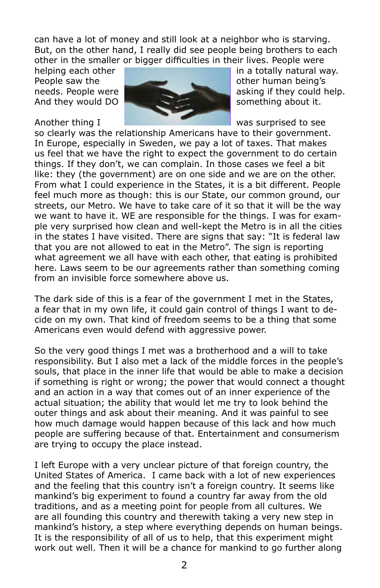can have a lot of money and still look at a neighbor who is starving. But, on the other hand, I really did see people being brothers to each other in the smaller or bigger difficulties in their lives. People were



helping each other **in a totally natural way.** In a totally natural way.

so clearly was the relationship Americans have to their government. In Europe, especially in Sweden, we pay a lot of taxes. That makes us feel that we have the right to expect the government to do certain things. If they don't, we can complain. In those cases we feel a bit like: they (the government) are on one side and we are on the other. From what I could experience in the States, it is a bit different. People feel much more as though: this is our State, our common ground, our streets, our Metro. We have to take care of it so that it will be the way we want to have it. WE are responsible for the things. I was for example very surprised how clean and well-kept the Metro is in all the cities in the states I have visited. There are signs that say: "It is federal law that you are not allowed to eat in the Metro". The sign is reporting what agreement we all have with each other, that eating is prohibited here. Laws seem to be our agreements rather than something coming from an invisible force somewhere above us.

The dark side of this is a fear of the government I met in the States, a fear that in my own life, it could gain control of things I want to decide on my own. That kind of freedom seems to be a thing that some Americans even would defend with aggressive power.

So the very good things I met was a brotherhood and a will to take responsibility. But I also met a lack of the middle forces in the people's souls, that place in the inner life that would be able to make a decision if something is right or wrong; the power that would connect a thought and an action in a way that comes out of an inner experience of the actual situation; the ability that would let me try to look behind the outer things and ask about their meaning. And it was painful to see how much damage would happen because of this lack and how much people are suffering because of that. Entertainment and consumerism are trying to occupy the place instead.

I left Europe with a very unclear picture of that foreign country, the United States of America. I came back with a lot of new experiences and the feeling that this country isn't a foreign country. It seems like mankind's big experiment to found a country far away from the old traditions, and as a meeting point for people from all cultures. We are all founding this country and therewith taking a very new step in mankind's history, a step where everything depends on human beings. It is the responsibility of all of us to help, that this experiment might work out well. Then it will be a chance for mankind to go further along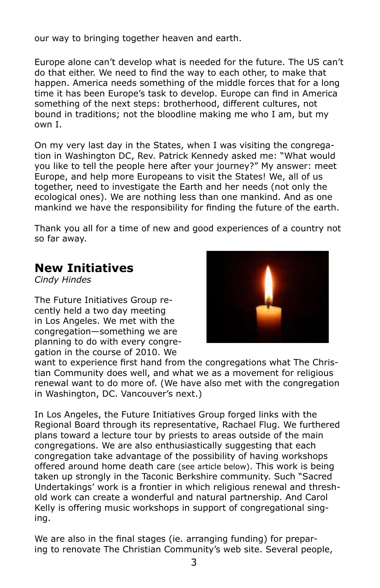our way to bringing together heaven and earth.

Europe alone can't develop what is needed for the future. The US can't do that either. We need to find the way to each other, to make that happen. America needs something of the middle forces that for a long time it has been Europe's task to develop. Europe can find in America something of the next steps: brotherhood, different cultures, not bound in traditions; not the bloodline making me who I am, but my own I.

On my very last day in the States, when I was visiting the congregation in Washington DC, Rev. Patrick Kennedy asked me: "What would you like to tell the people here after your journey?" My answer: meet Europe, and help more Europeans to visit the States! We, all of us together, need to investigate the Earth and her needs (not only the ecological ones). We are nothing less than one mankind. And as one mankind we have the responsibility for finding the future of the earth.

Thank you all for a time of new and good experiences of a country not so far away.

#### **New Initiatives**

*Cindy Hindes*

The Future Initiatives Group recently held a two day meeting in Los Angeles. We met with the congregation—something we are planning to do with every congregation in the course of 2010. We



want to experience first hand from the congregations what The Christian Community does well, and what we as a movement for religious renewal want to do more of. (We have also met with the congregation in Washington, DC. Vancouver's next.)

In Los Angeles, the Future Initiatives Group forged links with the Regional Board through its representative, Rachael Flug. We furthered plans toward a lecture tour by priests to areas outside of the main congregations. We are also enthusiastically suggesting that each congregation take advantage of the possibility of having workshops offered around home death care (see article below). This work is being taken up strongly in the Taconic Berkshire community. Such "Sacred Undertakings' work is a frontier in which religious renewal and threshold work can create a wonderful and natural partnership. And Carol Kelly is offering music workshops in support of congregational singing.

We are also in the final stages (ie. arranging funding) for preparing to renovate The Christian Community's web site. Several people,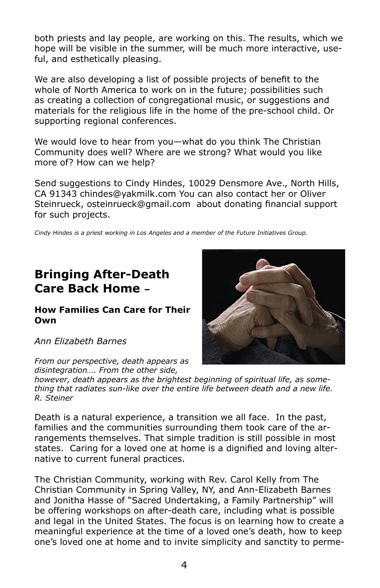both priests and lay people, are working on this. The results, which we hope will be visible in the summer, will be much more interactive, useful, and esthetically pleasing.

We are also developing a list of possible projects of benefit to the whole of North America to work on in the future; possibilities such as creating a collection of congregational music, or suggestions and materials for the religious life in the home of the pre-school child. Or supporting regional conferences.

We would love to hear from you—what do you think The Christian Community does well? Where are we strong? What would you like more of? How can we help?

Send suggestions to Cindy Hindes, 10029 Densmore Ave., North Hills, CA 91343 chindes@yakmilk.com You can also contact her or Oliver Steinrueck, osteinrueck@gmail.com about donating financial support for such projects.

*Cindy Hindes is a priest working in Los Angeles and a member of the Future Initiatives Group.* 

#### **Bringing After-Death Care Back Home –**

#### **How Families Can Care for Their Own**

*Ann Elizabeth Barnes*

*From our perspective, death appears as disintegration…. From the other side,* 

*however, death appears as the brightest beginning of spiritual life, as something that radiates sun-like over the entire life between death and a new life. R. Steiner*

Death is a natural experience, a transition we all face. In the past, families and the communities surrounding them took care of the arrangements themselves. That simple tradition is still possible in most states. Caring for a loved one at home is a dignified and loving alternative to current funeral practices.

The Christian Community, working with Rev. Carol Kelly from The Christian Community in Spring Valley, NY, and Ann-Elizabeth Barnes and Jonitha Hasse of "Sacred Undertaking, a Family Partnership" will be offering workshops on after-death care, including what is possible and legal in the United States. The focus is on learning how to create a meaningful experience at the time of a loved one's death, how to keep one's loved one at home and to invite simplicity and sanctity to perme-

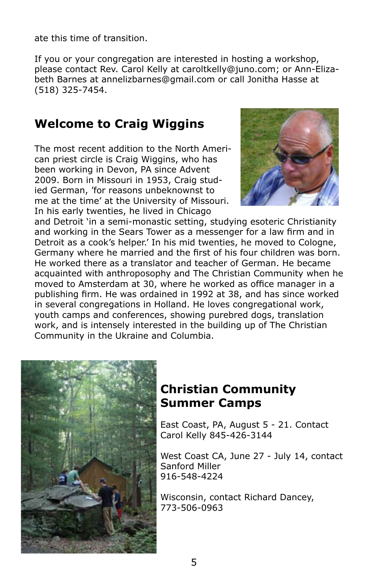ate this time of transition.

If you or your congregation are interested in hosting a workshop, please contact Rev. Carol Kelly at caroltkelly@juno.com; or Ann-Elizabeth Barnes at annelizbarnes@gmail.com or call Jonitha Hasse at (518) 325-7454.

## **Welcome to Craig Wiggins**

The most recent addition to the North American priest circle is Craig Wiggins, who has been working in Devon, PA since Advent 2009. Born in Missouri in 1953, Craig studied German, 'for reasons unbeknownst to me at the time' at the University of Missouri. In his early twenties, he lived in Chicago



and Detroit 'in a semi-monastic setting, studying esoteric Christianity and working in the Sears Tower as a messenger for a law firm and in Detroit as a cook's helper.' In his mid twenties, he moved to Cologne, Germany where he married and the first of his four children was born. He worked there as a translator and teacher of German. He became acquainted with anthroposophy and The Christian Community when he moved to Amsterdam at 30, where he worked as office manager in a publishing firm. He was ordained in 1992 at 38, and has since worked in several congregations in Holland. He loves congregational work, youth camps and conferences, showing purebred dogs, translation work, and is intensely interested in the building up of The Christian Community in the Ukraine and Columbia.



#### **Christian Community Summer Camps**

East Coast, PA, August 5 - 21. Contact Carol Kelly 845-426-3144

West Coast CA, June 27 - July 14, contact Sanford Miller 916-548-4224

Wisconsin, contact Richard Dancey, 773-506-0963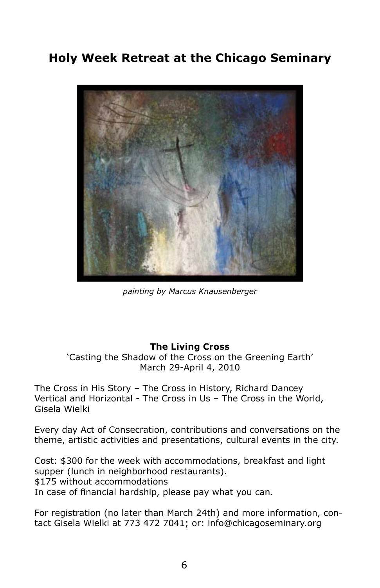## **Holy Week Retreat at the Chicago Seminary**



*painting by Marcus Knausenberger*

#### **The Living Cross**

'Casting the Shadow of the Cross on the Greening Earth' March 29-April 4, 2010

The Cross in His Story – The Cross in History, Richard Dancey Vertical and Horizontal - The Cross in Us – The Cross in the World, Gisela Wielki

Every day Act of Consecration, contributions and conversations on the theme, artistic activities and presentations, cultural events in the city.

Cost: \$300 for the week with accommodations, breakfast and light supper (lunch in neighborhood restaurants). \$175 without accommodations In case of financial hardship, please pay what you can.

For registration (no later than March 24th) and more information, contact Gisela Wielki at 773 472 7041; or: info@chicagoseminary.org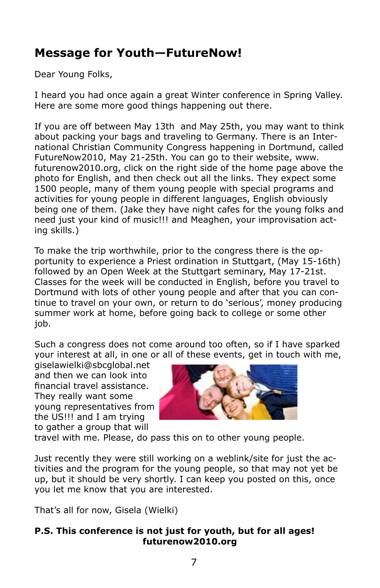## **Message for Youth—FutureNow!**

Dear Young Folks,

I heard you had once again a great Winter conference in Spring Valley. Here are some more good things happening out there.

If you are off between May 13th and May 25th, you may want to think about packing your bags and traveling to Germany. There is an International Christian Community Congress happening in Dortmund, called FutureNow2010, May 21-25th. You can go to their website, www. futurenow2010.org, click on the right side of the home page above the photo for English, and then check out all the links. They expect some 1500 people, many of them young people with special programs and activities for young people in different languages, English obviously being one of them. (Jake they have night cafes for the young folks and need just your kind of music!!! and Meaghen, your improvisation acting skills.)

To make the trip worthwhile, prior to the congress there is the opportunity to experience a Priest ordination in Stuttgart, (May 15-16th) followed by an Open Week at the Stuttgart seminary, May 17-21st. Classes for the week will be conducted in English, before you travel to Dortmund with lots of other young people and after that you can continue to travel on your own, or return to do 'serious', money producing summer work at home, before going back to college or some other job.

Such a congress does not come around too often, so if I have sparked your interest at all, in one or all of these events, get in touch with me,

giselawielki@sbcglobal.net and then we can look into financial travel assistance. They really want some young representatives from the US!!! and I am trying to gather a group that will



travel with me. Please, do pass this on to other young people.

Just recently they were still working on a weblink/site for just the activities and the program for the young people, so that may not yet be up, but it should be very shortly. I can keep you posted on this, once you let me know that you are interested.

That's all for now, Gisela (Wielki)

#### **P.S. This conference is not just for youth, but for all ages! futurenow2010.org**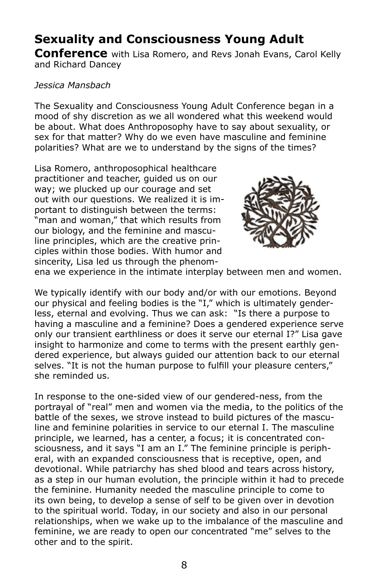## **Sexuality and Consciousness Young Adult**

**Conference** with Lisa Romero, and Revs Jonah Evans, Carol Kelly and Richard Dancey

#### *Jessica Mansbach*

The Sexuality and Consciousness Young Adult Conference began in a mood of shy discretion as we all wondered what this weekend would be about. What does Anthroposophy have to say about sexuality, or sex for that matter? Why do we even have masculine and feminine polarities? What are we to understand by the signs of the times?

Lisa Romero, anthroposophical healthcare practitioner and teacher, guided us on our way; we plucked up our courage and set out with our questions. We realized it is important to distinguish between the terms: "man and woman," that which results from our biology, and the feminine and masculine principles, which are the creative principles within those bodies. With humor and sincerity, Lisa led us through the phenom-



ena we experience in the intimate interplay between men and women.

We typically identify with our body and/or with our emotions. Beyond our physical and feeling bodies is the "I," which is ultimately genderless, eternal and evolving. Thus we can ask: "Is there a purpose to having a masculine and a feminine? Does a gendered experience serve only our transient earthliness or does it serve our eternal I?" Lisa gave insight to harmonize and come to terms with the present earthly gendered experience, but always guided our attention back to our eternal selves. "It is not the human purpose to fulfill your pleasure centers," she reminded us.

In response to the one-sided view of our gendered-ness, from the portrayal of "real" men and women via the media, to the politics of the battle of the sexes, we strove instead to build pictures of the masculine and feminine polarities in service to our eternal I. The masculine principle, we learned, has a center, a focus; it is concentrated consciousness, and it says "I am an I." The feminine principle is peripheral, with an expanded consciousness that is receptive, open, and devotional. While patriarchy has shed blood and tears across history, as a step in our human evolution, the principle within it had to precede the feminine. Humanity needed the masculine principle to come to its own being, to develop a sense of self to be given over in devotion to the spiritual world. Today, in our society and also in our personal relationships, when we wake up to the imbalance of the masculine and feminine, we are ready to open our concentrated "me" selves to the other and to the spirit.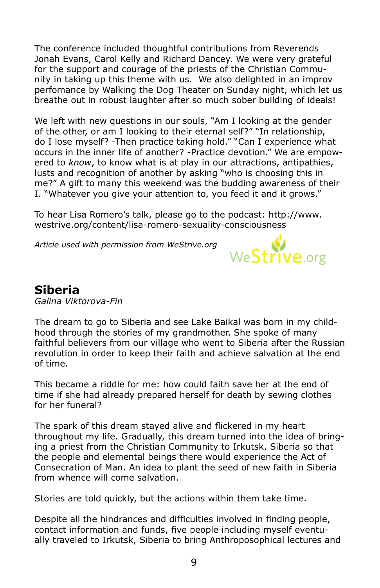The conference included thoughtful contributions from Reverends Jonah Evans, Carol Kelly and Richard Dancey. We were very grateful for the support and courage of the priests of the Christian Community in taking up this theme with us. We also delighted in an improv perfomance by Walking the Dog Theater on Sunday night, which let us breathe out in robust laughter after so much sober building of ideals!

We left with new questions in our souls, "Am I looking at the gender of the other, or am I looking to their eternal self?" "In relationship, do I lose myself? -Then practice taking hold." "Can I experience what occurs in the inner life of another? -Practice devotion." We are empowered to *know*, to know what is at play in our attractions, antipathies, lusts and recognition of another by asking "who is choosing this in me?" A gift to many this weekend was the budding awareness of their I. "Whatever you give your attention to, you feed it and it grows."

To hear Lisa Romero's talk, please go to the podcast: http://www. westrive.org/content/lisa-romero-sexuality-consciousness

*Article used with permission from WeStrive.org*



## **Siberia**

*Galina Viktorova-Fin* 

The dream to go to Siberia and see Lake Baikal was born in my childhood through the stories of my grandmother. She spoke of many faithful believers from our village who went to Siberia after the Russian revolution in order to keep their faith and achieve salvation at the end of time.

This became a riddle for me: how could faith save her at the end of time if she had already prepared herself for death by sewing clothes for her funeral?

The spark of this dream stayed alive and flickered in my heart throughout my life. Gradually, this dream turned into the idea of bringing a priest from the Christian Community to Irkutsk, Siberia so that the people and elemental beings there would experience the Act of Consecration of Man. An idea to plant the seed of new faith in Siberia from whence will come salvation.

Stories are told quickly, but the actions within them take time.

Despite all the hindrances and difficulties involved in finding people, contact information and funds, five people including myself eventually traveled to Irkutsk, Siberia to bring Anthroposophical lectures and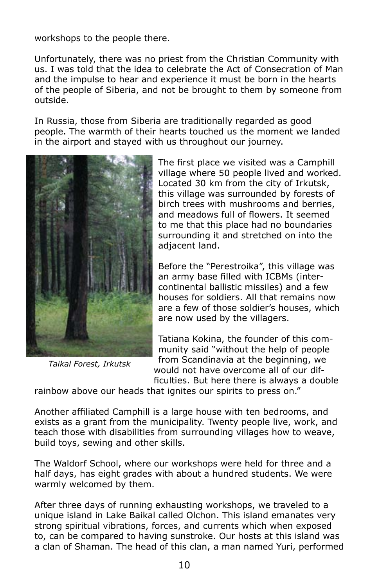workshops to the people there.

Unfortunately, there was no priest from the Christian Community with us. I was told that the idea to celebrate the Act of Consecration of Man and the impulse to hear and experience it must be born in the hearts of the people of Siberia, and not be brought to them by someone from outside.

In Russia, those from Siberia are traditionally regarded as good people. The warmth of their hearts touched us the moment we landed in the airport and stayed with us throughout our journey.



*Taikal Forest, Irkutsk*

The first place we visited was a Camphill village where 50 people lived and worked. Located 30 km from the city of Irkutsk, this village was surrounded by forests of birch trees with mushrooms and berries, and meadows full of flowers. It seemed to me that this place had no boundaries surrounding it and stretched on into the adjacent land.

Before the "Perestroika", this village was an army base filled with ICBMs (intercontinental ballistic missiles) and a few houses for soldiers. All that remains now are a few of those soldier's houses, which are now used by the villagers.

Tatiana Kokina, the founder of this community said "without the help of people from Scandinavia at the beginning, we would not have overcome all of our difficulties. But here there is always a double

rainbow above our heads that ignites our spirits to press on."

Another affiliated Camphill is a large house with ten bedrooms, and exists as a grant from the municipality. Twenty people live, work, and teach those with disabilities from surrounding villages how to weave, build toys, sewing and other skills.

The Waldorf School, where our workshops were held for three and a half days, has eight grades with about a hundred students. We were warmly welcomed by them.

After three days of running exhausting workshops, we traveled to a unique island in Lake Baikal called Olchon. This island emanates very strong spiritual vibrations, forces, and currents which when exposed to, can be compared to having sunstroke. Our hosts at this island was a clan of Shaman. The head of this clan, a man named Yuri, performed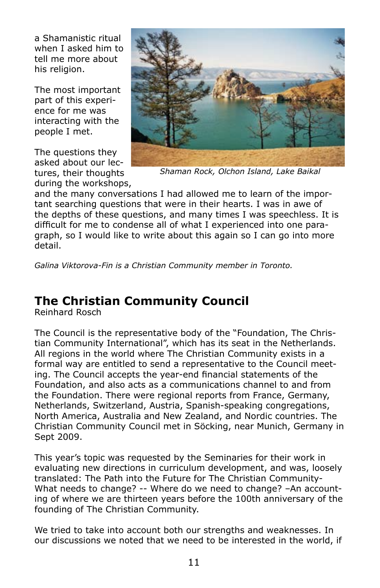a Shamanistic ritual when I asked him to tell me more about his religion.

The most important part of this experience for me was interacting with the people I met.

The questions they asked about our lectures, their thoughts during the workshops,



*Shaman Rock, Olchon Island, Lake Baikal*

and the many conversations I had allowed me to learn of the important searching questions that were in their hearts. I was in awe of the depths of these questions, and many times I was speechless. It is difficult for me to condense all of what I experienced into one paragraph, so I would like to write about this again so I can go into more detail.

*Galina Viktorova-Fin is a Christian Community member in Toronto.*

## **The Christian Community Council**

Reinhard Rosch

The Council is the representative body of the "Foundation, The Christian Community International", which has its seat in the Netherlands. All regions in the world where The Christian Community exists in a formal way are entitled to send a representative to the Council meeting. The Council accepts the year-end financial statements of the Foundation, and also acts as a communications channel to and from the Foundation. There were regional reports from France, Germany, Netherlands, Switzerland, Austria, Spanish-speaking congregations, North America, Australia and New Zealand, and Nordic countries. The Christian Community Council met in Söcking, near Munich, Germany in Sept 2009.

This year's topic was requested by the Seminaries for their work in evaluating new directions in curriculum development, and was, loosely translated: The Path into the Future for The Christian Community-What needs to change? -- Where do we need to change? –An accounting of where we are thirteen years before the 100th anniversary of the founding of The Christian Community.

We tried to take into account both our strengths and weaknesses. In our discussions we noted that we need to be interested in the world, if